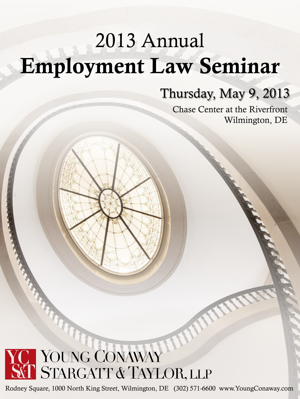# 2013 Annual Employment Law Seminar

### Thursday, May 9, 2013

Chase Center at the Riverfront Wilmington, DE

## YOUNG CONAWAY STARGATT & TAYLOR, LLP

Rodney Square, 1000 North King Street, Wilmington, DE (302) 571-6600 www.YoungConaway.com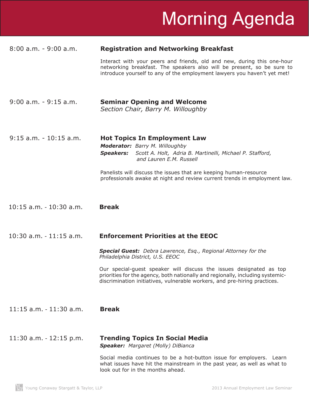# Morning Agenda

#### 8:00 a.m. - 9:00 a.m. **Registration and Networking Breakfast**

 Interact with your peers and friends, old and new, during this one-hour networking breakfast. The speakers also will be present, so be sure to introduce yourself to any of the employment lawyers you haven't yet met!

- 9:00 a.m. 9:15 a.m. **Seminar Opening and Welcome** *Section Chair, Barry M. Willoughby*
- 9:15 a.m. 10:15 a.m. **Hot Topics In Employment Law** *Moderator: Barry M. Willoughby Speakers: Scott A. Holt, Adria B. Martinelli, Michael P. Stafford, and Lauren E.M. Russell* Panelists will discuss the issues that are keeping human-resource professionals awake at night and review current trends in employment law.
- 10:15 a.m. 10:30 a.m. **Break**
- 10:30 a.m. 11:15 a.m. **Enforcement Priorities at the EEOC**

*Special Guest: Debra Lawrence, Esq., Regional Attorney for the Philadelphia District, U.S. EEOC*

 Our special-guest speaker will discuss the issues designated as top priorities for the agency, both nationally and regionally, including systemicdiscrimination initiatives, vulnerable workers, and pre-hiring practices.

11:15 a.m. - 11:30 a.m. **Break**

### 11:30 a.m. - 12:15 p.m. **Trending Topics In Social Media**

*Speaker: Margaret (Molly) DiBianca*

 Social media continues to be a hot-button issue for employers. Learn what issues have hit the mainstream in the past year, as well as what to look out for in the months ahead.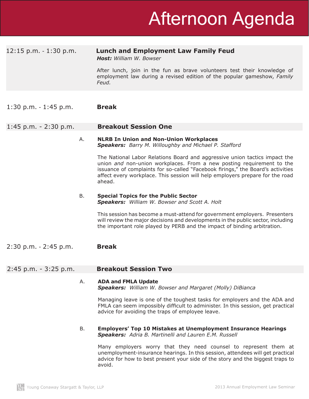#### 12:15 p.m. - 1:30 p.m. **Lunch and Employment Law Family Feud**

*Host: William W. Bowser*

 After lunch, join in the fun as brave volunteers test their knowledge of employment law during a revised edition of the popular gameshow, *Family Feud.*

1:30 p.m. - 1:45 p.m. **Break**

#### 1:45 p.m. - 2:30 p.m. **Breakout Session One**

#### A. **NLRB In Union and Non-Union Workplaces** *Speakers: Barry M. Willoughby and Michael P. Stafford*

 The National Labor Relations Board and aggressive union tactics impact the union *and* non-union workplaces. From a new posting requirement to the issuance of complaints for so-called "Facebook firings," the Board's activities affect every workplace. This session will help employers prepare for the road ahead.

#### B. **Special Topics for the Public Sector**  *Speakers: William W. Bowser and Scott A. Holt*

 This session has become a must-attend for government employers. Presenters will review the major decisions and developments in the public sector, including the important role played by PERB and the impact of binding arbitration.

2:30 p.m. - 2:45 p.m. **Break**

#### 2:45 p.m. - 3:25 p.m. **Breakout Session Two**

#### A. **ADA and FMLA Update** *Speakers: William W. Bowser and Margaret (Molly) DiBianca*

 Managing leave is one of the toughest tasks for employers and the ADA and FMLA can seem impossibly difficult to administer. In this session, get practical advice for avoiding the traps of employee leave.

#### B. **Employers' Top 10 Mistakes at Unemployment Insurance Hearings** *Speakers: Adria B. Martinelli and Lauren E.M. Russell*

 Many employers worry that they need counsel to represent them at unemployment-insurance hearings. In this session, attendees will get practical advice for how to best present your side of the story and the biggest traps to avoid.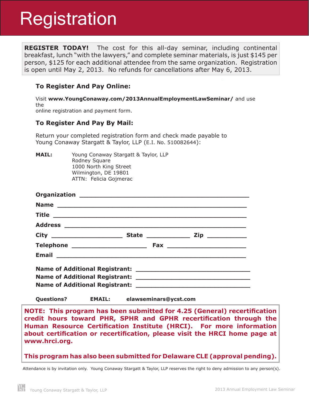## **Registration**

**REGISTER TODAY!** The cost for this all-day seminar, including continental breakfast, lunch "with the lawyers," and complete seminar materials, is just \$145 per person, \$125 for each additional attendee from the same organization. Registration is open until May 2, 2013. No refunds for cancellations after May 6, 2013.

#### **To Register And Pay Online:**

Visit **www.YoungConaway.com/2013AnnualEmploymentLawSeminar/** and use the online registration and payment form.

**To Register And Pay By Mail:**

Return your completed registration form and check made payable to Young Conaway Stargatt & Taylor, LLP (E.I. No. 510082644):

**MAIL:** Young Conaway Stargatt & Taylor, LLP Rodney Square 1000 North King Street Wilmington, DE 19801 ATTN: Felicia Gojmerac

**Questions? EMAIL: elawseminars@ycst.com**

**NOTE: This program has been submitted for 4.25 (General) recertification credit hours toward PHR, SPHR and GPHR recertification through the Human Resource Certification Institute (HRCI). For more information about certification or recertification, please visit the HRCI home page at www.hrci.org.**

**This program has also been submitted for Delaware CLE (approval pending).**

Attendance is by invitation only. Young Conaway Stargatt & Taylor, LLP reserves the right to deny admission to any person(s).